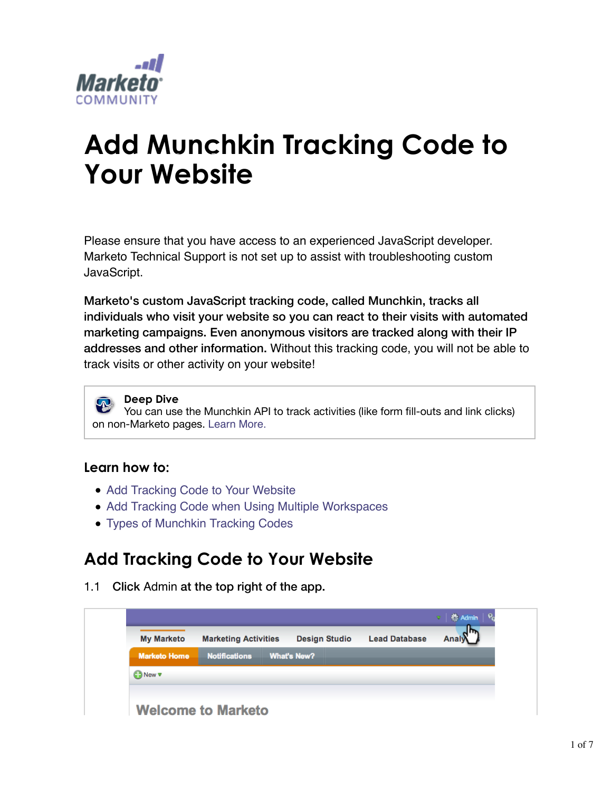

# **Add Munchkin Tracking Code to Your Website**

Please ensure that you have access to an experienced JavaScript developer. Marketo Technical Support is not set up to assist with troubleshooting custom JavaScript.

Marketo's custom JavaScript tracking code, called Munchkin, tracks all individuals who visit your website so you can react to their visits with automated marketing campaigns. Even anonymous visitors are tracked along with their IP addresses and other information. Without this tracking code, you will not be able to track visits or other activity on your website!

**Deep Dive** You can use the Munchkin API to track activities (like form fill-outs and link clicks) on non-Marketo pages. Learn More.

#### **Learn how to:**

- Add Tracking Code to Your Website
- Add Tracking Code when Using Multiple Workspaces
- Types of Munchkin Tracking Codes

### **Add Tracking Code to Your Website**

1.1 Click Admin at the top right of the app.

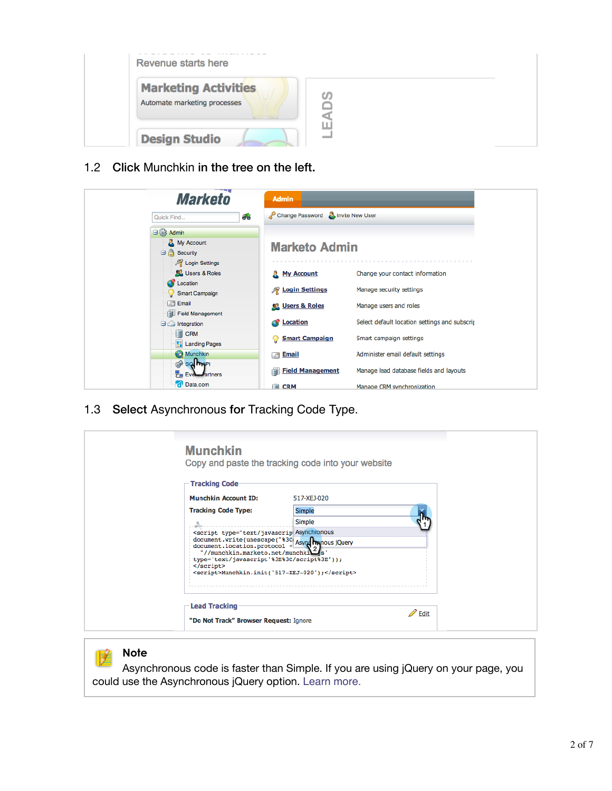

1.2 Click Munchkin in the tree on the left.

| <b>Marketo</b>                           | <b>Admin</b>                             |                                               |
|------------------------------------------|------------------------------------------|-----------------------------------------------|
| க<br>Quick Find                          | Change Password <b>B</b> Invite New User |                                               |
| B 883 Admin                              |                                          |                                               |
| My Account<br>$\Box$ Security            | <b>Marketo Admin</b>                     |                                               |
| <b>A</b> Login Settings<br>Users & Roles | <b>R</b> My Account                      | Change your contact information               |
| <b>Cy</b> Location<br>Smart Campaign     | <b>R</b> Login Settings                  | Manage security settings                      |
| $\leq$ Email<br>Field Management         | <b>Co.</b> Users & Roles                 | Manage users and roles                        |
| $\Box$ Integration                       | <b>C</b> Location                        | Select default location settings and subscrip |
| <b>B</b> CRM<br><b>Manding Pages</b>     | <b>Smart Campaign</b><br>9               | Smart campaign settings                       |
| <b>Co</b> Munchkin                       | <b>Email</b><br>$\mathbb{Z}^4$           | Administer email default settings             |
| <b>B</b> so mp<br><b>Even Partners</b>   | <b>Field Management</b><br>Ġ.            | Manage lead database fields and layouts       |
| <b>d</b> Data.com                        | <b>B</b> CRM                             | Manage CRM synchronization                    |

1.3 Select Asynchronous for Tracking Code Type.

| <b>Munchkin</b>                                                                                                                                                                                                                                                                                          | Copy and paste the tracking code into your website |                  |
|----------------------------------------------------------------------------------------------------------------------------------------------------------------------------------------------------------------------------------------------------------------------------------------------------------|----------------------------------------------------|------------------|
| <b>Tracking Code</b>                                                                                                                                                                                                                                                                                     |                                                    |                  |
| <b>Munchkin Account ID:</b>                                                                                                                                                                                                                                                                              | 517-XEJ-020                                        |                  |
| <b>Tracking Code Type:</b>                                                                                                                                                                                                                                                                               | Simple                                             |                  |
| $-$ and $-$                                                                                                                                                                                                                                                                                              | Simple                                             |                  |
| <script %3c:="" asynghynous="" jquery<br="" type="text/javascrip Asynchronous&lt;br&gt;document.write(unescape(">"//munchkin.marketo.net/munchkils's'<br>type='text/javascript'%3E%3C/script%3E"));<br><math>\langle</math>/script<math>\rangle</math><br><script>Munchkin.init('517-XEJ-020');</script> |                                                    |                  |
| <b>Lead Tracking</b><br>"Do Not Track" Browser Request: Ignore                                                                                                                                                                                                                                           |                                                    | $\mathbb Z$ Edit |

#### **Note**

Asynchronous code is faster than Simple. If you are using jQuery on your page, you could use the Asynchronous jQuery option. Learn more.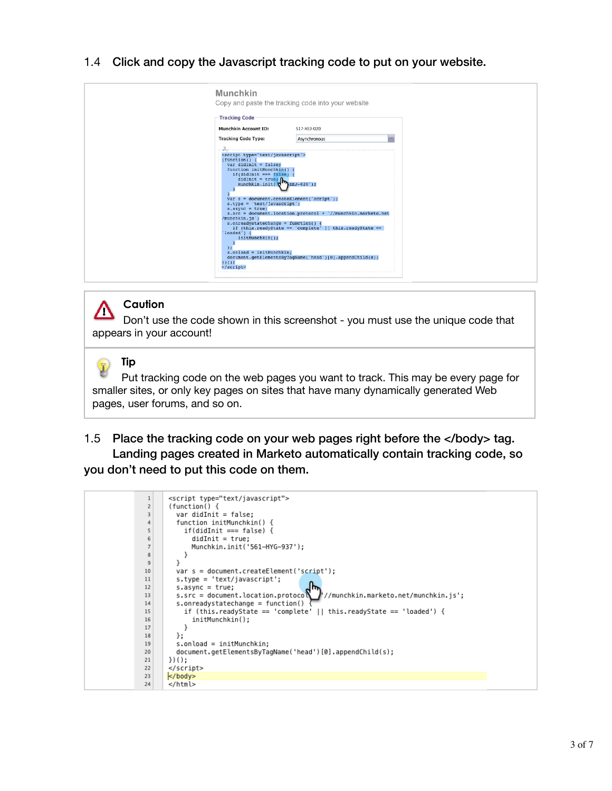1.4 Click and copy the Javascript tracking code to put on your website.

| <b>Munchkin</b>                                                                                                                                                                                                                                                                                                                                                                                                                                                                                                                                                                       | Copy and paste the tracking code into your website                                                                                                                                  |  |
|---------------------------------------------------------------------------------------------------------------------------------------------------------------------------------------------------------------------------------------------------------------------------------------------------------------------------------------------------------------------------------------------------------------------------------------------------------------------------------------------------------------------------------------------------------------------------------------|-------------------------------------------------------------------------------------------------------------------------------------------------------------------------------------|--|
| <b>Tracking Code</b>                                                                                                                                                                                                                                                                                                                                                                                                                                                                                                                                                                  |                                                                                                                                                                                     |  |
| <b>Munchkin Account ID:</b>                                                                                                                                                                                                                                                                                                                                                                                                                                                                                                                                                           | 517-XEJ-020                                                                                                                                                                         |  |
| <b>Tracking Code Type:</b>                                                                                                                                                                                                                                                                                                                                                                                                                                                                                                                                                            | Asynchronous                                                                                                                                                                        |  |
| <script type="text/javascript"><br><math>function()</math> {<br><math>var</math> didInit = false;<br>function initMunchkin()<br><math>if (didInit == false)</math>.<br>didInit = true;<br>Munchkin.init(<math>\sqrt{\mathbf{h}}</math>XEJ-020');<br><math>var s = document.createElement('script');</math><br><math>s. type = 'text/javascript';</math><br><math>s</math>. async = true;<br>/munchkin.js';<br>s.onreadystatechange = function() {<br>loaded') {<br>initMunchkin();<br><math>\lambda</math><br><math>s.</math>onload = initMunchkin;<br><math>\sum</math><br></script> | s.src = document.location.protocol + '//munchkin.marketo.net<br>if (this readyState == 'complete'    this readyState ==<br>document.getElementsByTaqName('head')[0].appendChild(s); |  |



#### **Caution**

Don't use the code shown in this screenshot - you must use the unique code that appears in your account!

### **Tip**

Put tracking code on the web pages you want to track. This may be every page for smaller sites, or only key pages on sites that have many dynamically generated Web pages, user forums, and so on.

1.5 Place the tracking code on your web pages right before the </body> tag. Landing pages created in Marketo automatically contain tracking code, so you don't need to put this code on them.

```
\mathbf 1<script type="text/javascript">
\bar{z}function() \{var didInit = false;
 \overline{3}function initMunchkin() {
 \sqrt{4}\overline{5}if(didInit === false) {
               didInit = true;<br>didInit = true;<br>Munchkin.init('561-HYG-937');
\, 6
\overline{7}\mathbf{g}\}\mathcal{F}\overline{9}var s = document.createElement('script');
10<sup>°</sup>11\,s.type = 'text/javascript';12
          s \cdot \text{async} = \text{true};s.src = document.location.protoco
                                                           //munchkin.marketo.net/munchkin.js';
1314\,s.onreadystatechange = function()
15\,if (this.readyState == 'complete' || this.readyState == 'loaded') {
16
               initMunchkin();
\frac{17}{2}\}18\,\};
19\,s.onload = initMunchkin;
20document.getElementsByTagName('head')[0].appendChild(s);
       \})();
21\le/script>
22
       | </body>
23
24
        </html>
```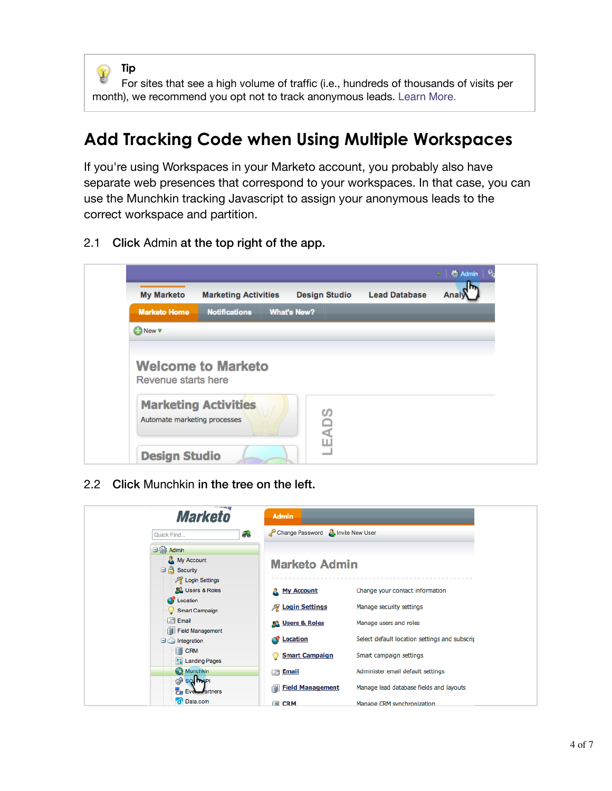

For sites that see a high volume of traffic (i.e., hundreds of thousands of visits per month), we recommend you opt not to track anonymous leads. Learn More.

### **Add Tracking Code when Using Multiple Workspaces**

If you're using Workspaces in your Marketo account, you probably also have separate web presences that correspond to your workspaces. In that case, you can use the Munchkin tracking Javascript to assign your anonymous leads to the correct workspace and partition.

2.1 Click Admin at the top right of the app.

|                              |                             |                    |                      |                      | 卷 Admin<br>$\overline{\nabla}$ |
|------------------------------|-----------------------------|--------------------|----------------------|----------------------|--------------------------------|
| <b>My Marketo</b>            | <b>Marketing Activities</b> |                    | <b>Design Studio</b> | <b>Lead Database</b> | Analy                          |
| <b>Marketo Home</b>          | <b>Notifications</b>        | <b>What's New?</b> |                      |                      |                                |
| <b>CONew v</b>               |                             |                    |                      |                      |                                |
|                              |                             |                    |                      |                      |                                |
| Revenue starts here          |                             |                    |                      |                      |                                |
| Automate marketing processes | <b>Marketing Activities</b> |                    | <b>EADS</b>          |                      |                                |

2.2 Click Munchkin in the tree on the left.

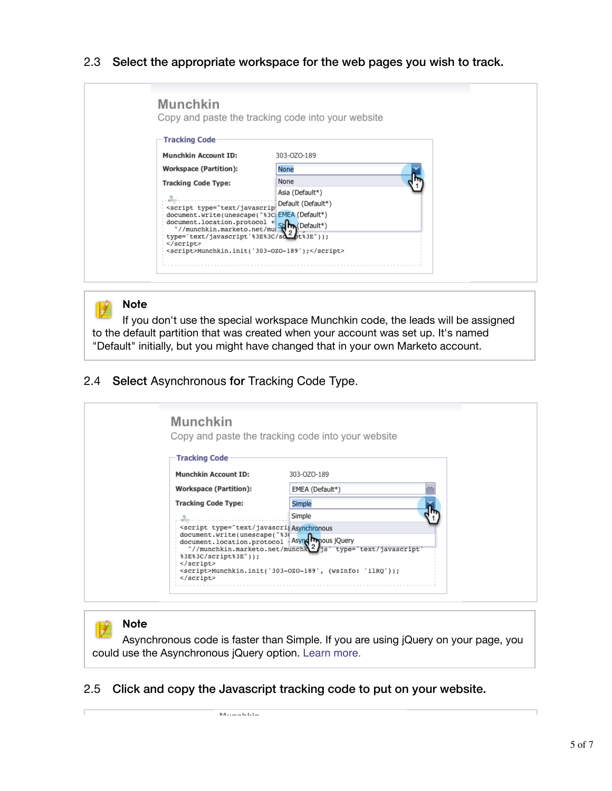#### 2.3 Select the appropriate workspace for the web pages you wish to track.

| <b>Tracking Code</b>                                                                                                                                                                                                                                                                                            |                                                |  |
|-----------------------------------------------------------------------------------------------------------------------------------------------------------------------------------------------------------------------------------------------------------------------------------------------------------------|------------------------------------------------|--|
| Munchkin Account ID:                                                                                                                                                                                                                                                                                            | 303-OZO-189                                    |  |
| <b>Workspace (Partition):</b>                                                                                                                                                                                                                                                                                   | None                                           |  |
| <b>Tracking Code Type:</b>                                                                                                                                                                                                                                                                                      | None                                           |  |
|                                                                                                                                                                                                                                                                                                                 | Asia (Default*)                                |  |
| <script <="" td="" type="text/javascrip"><td>Default (Default*)</td><td></td></tr><tr><td>document.write(unescape("%3C;EMEA(Default")</td><td></td><td></td></tr><tr><td>document.location.protocol + Story(Default*)</td><td></td><td></td></tr><tr><td>type='text/javascript'%3E%3C/sdfbt%3E"));<br></script> |                                                |  |
|                                                                                                                                                                                                                                                                                                                 | <script>Munchkin.init('303-0Z0-189');</script> |  |

#### **Note**

詫

If you don't use the special workspace Munchkin code, the leads will be assigned to the default partition that was created when your account was set up. It's named "Default" initially, but you might have changed that in your own Marketo account.

#### 2.4 Select Asynchronous for Tracking Code Type.

| <b>Munchkin</b>                                                                                                                                                               | Copy and paste the tracking code into your website                              |
|-------------------------------------------------------------------------------------------------------------------------------------------------------------------------------|---------------------------------------------------------------------------------|
| <b>Tracking Code</b>                                                                                                                                                          |                                                                                 |
| <b>Munchkin Account ID:</b>                                                                                                                                                   | 303-OZO-189                                                                     |
| <b>Workspace (Partition):</b>                                                                                                                                                 | EMEA (Default*)                                                                 |
| <b>Tracking Code Type:</b>                                                                                                                                                    | Simple                                                                          |
|                                                                                                                                                                               | Simple                                                                          |
| <script %30<br="" type="text/javascripAsynchronous&lt;br&gt;document.write(unescape(">document.location.protocol Asyng Impous jQuery<br>%3E%3C/script%3E"));<br></script><br> | "//munchkin.marketo.net/munchk2/js' type='text/javascript'<br><script></script> |

#### **Note**

Asynchronous code is faster than Simple. If you are using jQuery on your page, you could use the Asynchronous jQuery option. Learn more.

#### 2.5 Click and copy the Javascript tracking code to put on your website.

 $M_{t,sub}$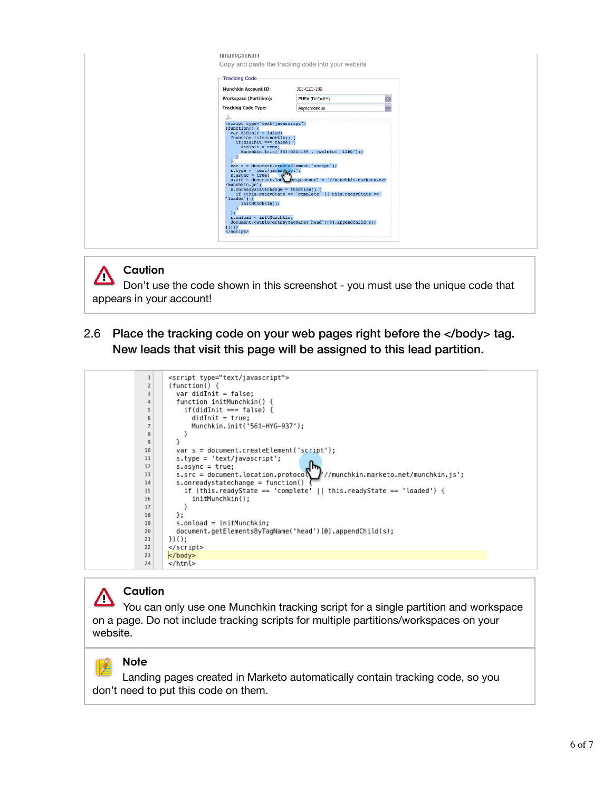| <b>IVIUNGININ</b><br><b>Tracking Code</b>                                                                                                                                                                                                                                                                                                                                                                                                                                                                                                               | Copy and paste the tracking code into your website                                                                                                                                                                                                  |  |
|---------------------------------------------------------------------------------------------------------------------------------------------------------------------------------------------------------------------------------------------------------------------------------------------------------------------------------------------------------------------------------------------------------------------------------------------------------------------------------------------------------------------------------------------------------|-----------------------------------------------------------------------------------------------------------------------------------------------------------------------------------------------------------------------------------------------------|--|
| <b>Munchkin Account ID:</b>                                                                                                                                                                                                                                                                                                                                                                                                                                                                                                                             | 303-OZO-189                                                                                                                                                                                                                                         |  |
| <b>Workspace (Partition):</b>                                                                                                                                                                                                                                                                                                                                                                                                                                                                                                                           | ×<br>EMEA (Default*)                                                                                                                                                                                                                                |  |
| <b>Tracking Code Type:</b>                                                                                                                                                                                                                                                                                                                                                                                                                                                                                                                              | ⊽<br>Asynchronous                                                                                                                                                                                                                                   |  |
| <script type="text/javascript"><br><math>function() \{</math><br><math>var</math> didInit = false;<br>function initMunchkin() {<br>if(didInit === false) {<br><math>didInit = true;</math><br>var s = document.createElement('script');<br><math>s. type = 'text/javasqript';</math><br><math>s \cdot \text{async} = \text{true};</math><br>/munchkin.js';<br>s.onreadystatechange = function() {<br><math>'</math>loaded') {<br>initMunchkin();<br><math>\rightarrow</math><br><math>s.</math>onload = initMunchkin;<br><math>\sum</math><br></script> | Munchkin.init('303-0Z0-189', {wsInfo: 'ilRQ'});<br>s.src = document.loca $\binom{5}{0}$ n.protocol + '//munchkin.marketo.net<br>if (this readyState == 'complete'    this readyState ==<br>document.getElementsByTagName('head')[0].appendChild(s); |  |

#### **Caution**

Λ Don't use the code shown in this screenshot - you must use the unique code that appears in your account!

2.6 Place the tracking code on your web pages right before the </body> tag. New leads that visit this page will be assigned to this lead partition.



#### **Caution** Λ

You can only use one Munchkin tracking script for a single partition and workspace on a page. Do not include tracking scripts for multiple partitions/workspaces on your website.

### **Note**

Landing pages created in Marketo automatically contain tracking code, so you don't need to put this code on them.